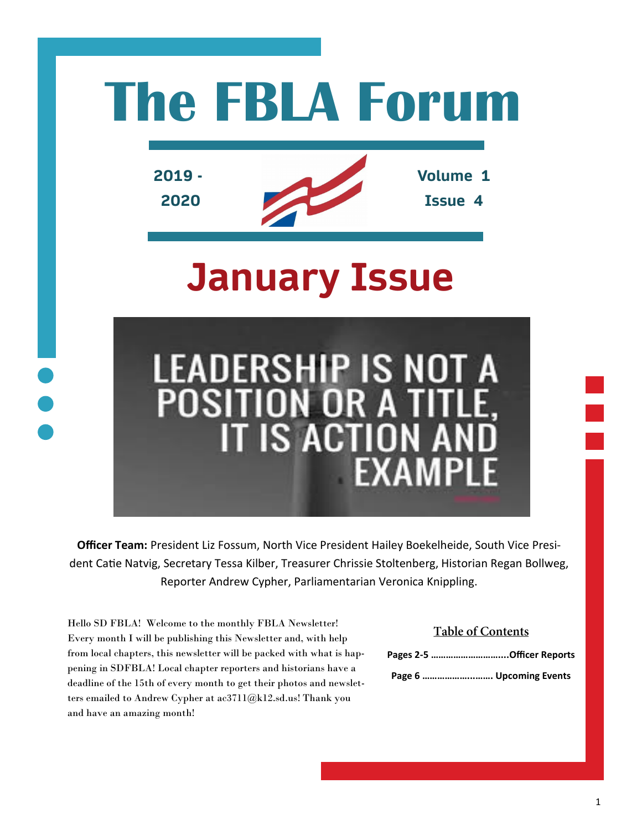

**Officer Team:** President Liz Fossum, North Vice President Hailey Boekelheide, South Vice President Catie Natvig, Secretary Tessa Kilber, Treasurer Chrissie Stoltenberg, Historian Regan Bollweg, Reporter Andrew Cypher, Parliamentarian Veronica Knippling.

Hello SD FBLA! Welcome to the monthly FBLA Newsletter! Every month I will be publishing this Newsletter and, with help from local chapters, this newsletter will be packed with what is happening in SDFBLA! Local chapter reporters and historians have a deadline of the 15th of every month to get their photos and newsletters emailed to Andrew Cypher at ac3711@k12.sd.us! Thank you and have an amazing month!

#### **Table of Contents**

| Pages 2-5 Officer Reports |
|---------------------------|
| Page 6  Upcoming Events   |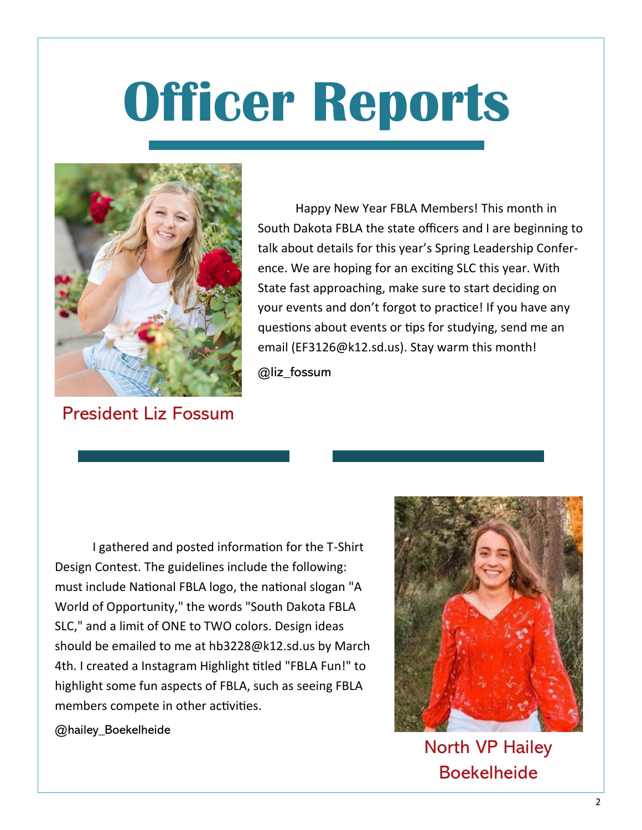

President Liz Fossum

Happy New Year FBLA Members! This month in South Dakota FBLA the state officers and I are beginning to talk about details for this year's Spring Leadership Conference. We are hoping for an exciting SLC this year. With State fast approaching, make sure to start deciding on your events and don't forgot to practice! If you have any questions about events or tips for studying, send me an email (EF3126@k12.sd.us). Stay warm this month!

@liz\_fossum

I gathered and posted information for the T-Shirt Design Contest. The guidelines include the following: must include National FBLA logo, the national slogan "A World of Opportunity," the words "South Dakota FBLA SLC," and a limit of ONE to TWO colors. Design ideas should be emailed to me at hb3228@k12.sd.us by March 4th. I created a Instagram Highlight titled "FBLA Fun!" to highlight some fun aspects of FBLA, such as seeing FBLA members compete in other activities.



North VP Hailey Boekelheide

@hailey\_Boekelheide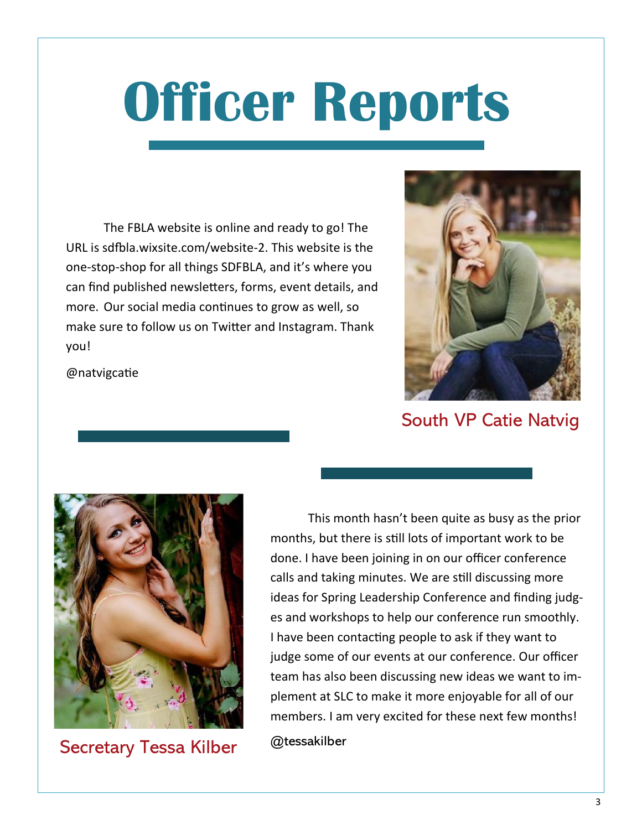The FBLA website is online and ready to go! The URL is sdfbla.wixsite.com/website-2. This website is the one-stop-shop for all things SDFBLA, and it's where you can find published newsletters, forms, event details, and more. Our social media continues to grow as well, so make sure to follow us on Twitter and Instagram. Thank you!

@natvigcatie



### South VP Catie Natvig



Secretary Tessa Kilber

This month hasn't been quite as busy as the prior months, but there is still lots of important work to be done. I have been joining in on our officer conference calls and taking minutes. We are still discussing more ideas for Spring Leadership Conference and finding judges and workshops to help our conference run smoothly. I have been contacting people to ask if they want to judge some of our events at our conference. Our officer team has also been discussing new ideas we want to implement at SLC to make it more enjoyable for all of our members. I am very excited for these next few months!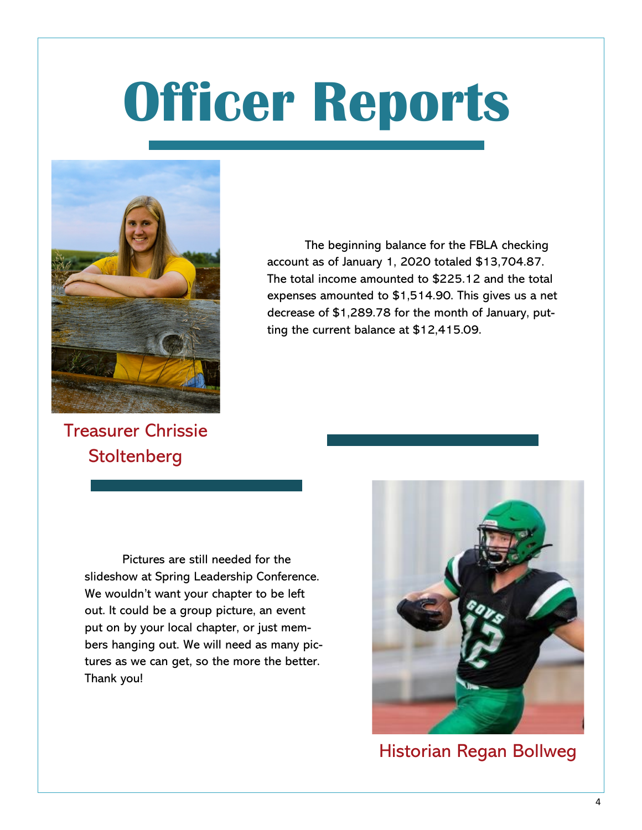

The beginning balance for the FBLA checking account as of January 1, 2020 totaled \$13,704.87. The total income amounted to \$225.12 and the total expenses amounted to \$1,514.90. This gives us a net decrease of \$1,289.78 for the month of January, putting the current balance at \$12,415.09.

Treasurer Chrissie **Stoltenberg** 

> Pictures are still needed for the slideshow at Spring Leadership Conference. We wouldn't want your chapter to be left out. It could be a group picture, an event put on by your local chapter, or just members hanging out. We will need as many pictures as we can get, so the more the better. Thank you!



Historian Regan Bollweg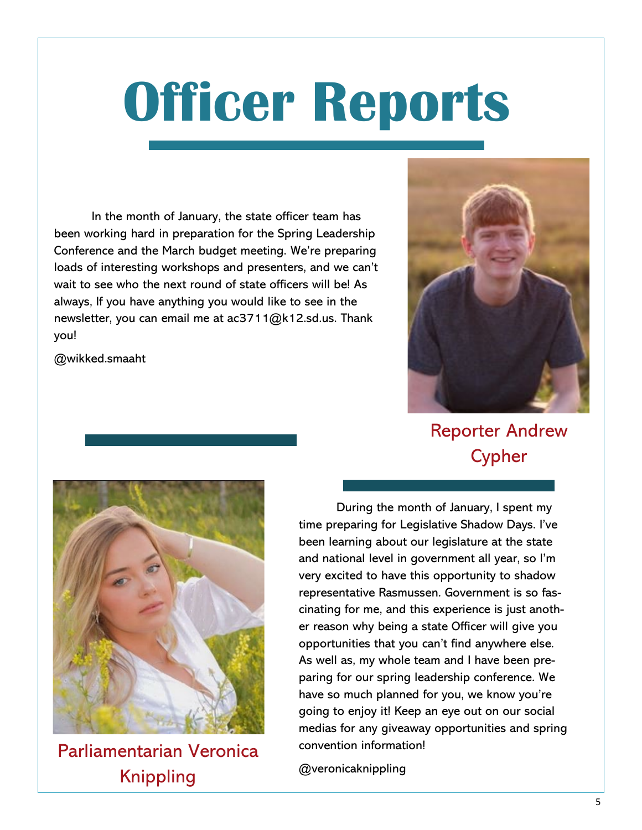In the month of January, the state officer team has been working hard in preparation for the Spring Leadership Conference and the March budget meeting. We're preparing loads of interesting workshops and presenters, and we can't wait to see who the next round of state officers will be! As always, If you have anything you would like to see in the newsletter, you can email me at ac3711@k12.sd.us. Thank you!

@wikked.smaaht



Reporter Andrew Cypher



Parliamentarian Veronica Knippling

During the month of January, I spent my time preparing for Legislative Shadow Days. I've been learning about our legislature at the state and national level in government all year, so I'm very excited to have this opportunity to shadow representative Rasmussen. Government is so fascinating for me, and this experience is just another reason why being a state Officer will give you opportunities that you can't find anywhere else. As well as, my whole team and I have been preparing for our spring leadership conference. We have so much planned for you, we know you're going to enjoy it! Keep an eye out on our social medias for any giveaway opportunities and spring convention information!

@veronicaknippling